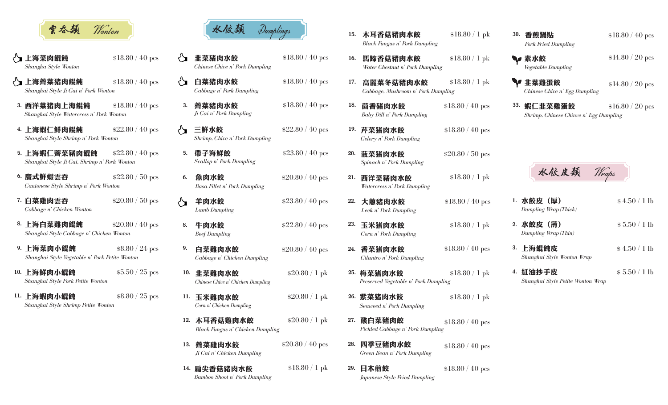

\$18.80 / 40 pcs

\$20.80 / 50 pcs

- √】 上海菜肉餛飩 *Shangha Style Wonton*
- √】上海薺菜猪肉餛飩 *Shanghai Style Ji Cai n' Pork Wonton* \$18.80 / 40 pcs
- 西洋菜猪肉上海餛飩 3. *Shanghai Style Watercress n' Pork Wonton* \$18.80 / 40 pcs
- 4. 上海蝦仁鮮肉餛飩 *Shanghai Style Shrimp n' Pork Wonton* \$22.80 / 40 pcs
- 5. 上海蝦仁薺菜豬肉餛飩 *Shanghai Style Ji Cai, Shrimp n' Pork Wonton* \$22.80 / 40 pcs
- 廣式鮮蝦雲吞 6. *Cantonese Style Shrimp n' Pork Wonton* \$22.80 / 50 pcs
- 白菜雞肉雲吞 7. *Cabbage n' Chicken Wonton*
- 8. 上海白菜雞肉餛飩 *Shanghai Style Cabbage n' Chicken Wonton* \$20.80 / 40 pcs
- 9. 上海菜肉小餛飩 *Shanghai Style Vegetable n' Pork Petite Wonton* \$8.80 / 24 pcs
- 10. 上海鮮肉小餛飩 *Shanghai Style Pork Petite Wonton* \$5.50 / 25 pcs
- 11. 上海蝦肉小餛飩 *Shanghai Style Shrimp Petite Wonton* \$8.80 / 25 pcs



- \$18.80 / 40 pcs *Chinese Chive n' Pork Dumpling* 韭菜猪肉水餃
- \$18.80 / 40 pcs *Cabbage n' Pork Dumpling*
- \$18.80 / 40 pcs *Ji Cai n' Pork Dumpling*
- \$22.80 / 40 pcs *Shrimp, Chive n' Pork Dumpling*
- \$23.80 / 40 pcs *Scallop n' Pork Dumpling* 帶子海鮮餃
- \$20.80 / 40 pcs *Basa Fillet n' Pork Dumpling*
	- \$23.80 / 40 pcs
	- \$22.80 / 40 pcs
- \$20.80 / 40 pcs *Cabbage n' Chicken Dumpling* 白菜雞肉水餃
- \$20.80 / 1 pk *Chinese Chive n' Chicken Dumpling* 韭菜雞肉水餃 10.
- \$20.80 / 1 pk *Corn n' Chicken Dumpling* 11. 玉米雞肉水餃

*Lamb Dumpling*

羊肉水餃

魚肉水餃

5.

√∽

КY

 $\mathbf{r}'$ 

6.

8.

9.

牛肉水餃

薺菜豬肉水餃 3.

三鮮水餃

- \$20.80 / 1 pk *Black Fungus n' Chicken Dumpling* 12. 木耳香菇雞肉水餃
- \$20.80 / 40 pcs *Ji Cai n' Chicken Dumpling* 薺菜雞肉水餃 13.
- \$18.80 / 1 pk *Bamboo Shoot n' Pork Dumpling* 扁尖香菇豬肉水餃 14.
- \$18.80 / 1 pk *Black Fungus n' Pork Dumpling* 15. 木耳香菇豬肉水餃
	- \$18.80 / 1 pk *Water Chestnut n' Pork Dumpling* 馬蹄香菇豬肉水餃
- \$18.80 / 1 pk *Cabbage, Mushroom n' Pork Dumpling* 白菜猪肉水餃  $$18.80/40\,\mathrm{pc s}$  17. 高麗菜冬菇豬肉水餃  $$18.80/1\,\mathrm{pk}$  半主菜雞蛋餃 17.
	- 18. \$18.80 / 40 pcs *Baby Dill n' Pork Dumpling* 茴香豬肉水餃
	- \$18.80 / 40 pcs *Celery n' Pork Dumpling* 19. 芹菜猪肉水餃

\$20.80 / 50 pcs

\$18.80 / 1 pk

\$18.80 / 1 pk

\$18.80 / 40 pcs

\$18.80 / 40 pcs

- *Spinach n' Pork Dumpling* 菠菜猪肉水餃 20.
- *Watercress n' Pork Dumpling* 西洋菜豬肉水餃 21.

16.

- *Leek n' Pork Dumpling* 大蔥豬肉水餃 22.
- *Beef Dumpling Corn n' Pork Dumpling* 23. 玉<mark>米猪肉水餃</mark>
	- *Cilantro n' Pork Dumpling* 香菜猪肉水餃 24.
	- 25. 梅菜猪肉水餃 \$18.80 / 1 pk *Preserved Vegetable n' Pork Dumpling*
	- 26. 紫菜猪肉水餃 \$18.80 / 1 pk *Seaweed n' Pork Dumpling*
	- 27. 酸白菜豬肉餃 \$18.80 / 40 pcs *Pickled Cabbage n' Pork Dumpling*
	- 28. 四季豆豬肉水餃 \$18.80 / 40 pcs *Green Bean n' Pork Dumpling*
	- \$18.80 / 40 pcs *Japanese Style Fried Dumpling* 29. 日本煎餃
- *Pork Fried Dumpling* 香煎鍋貼 30.
	- *Vegetable Dumpling* 素水餃
	- *Chinese Chive n' Egg Dumpling*
	- \$16.80 / 20 pcs *Shrimp, Chinese Chinve n' Egg Dumpling* 33. 蝦仁韭菜雞蛋餃



- *Dumpling Wrap (Thick)* 1. 水餃皮(厚)
- \$ 4.50 / 1 lb

\$18.80 / 40 pcs

\$14.80 / 20 pcs

\$14.80 / 20 pcs

\$ 5.50 / 1 lb

\$ 5.50 / 1 lb

- *Dumpling Wrap (Thin)* 2. 水餃皮 (薄)
- \$ 4.50 / 1 lb *Shanghai Style Wonton Wrap* 3. 上海餛飩皮
- *Shanghai Style Petite Wonton Wrap* 4. 紅油抄手皮